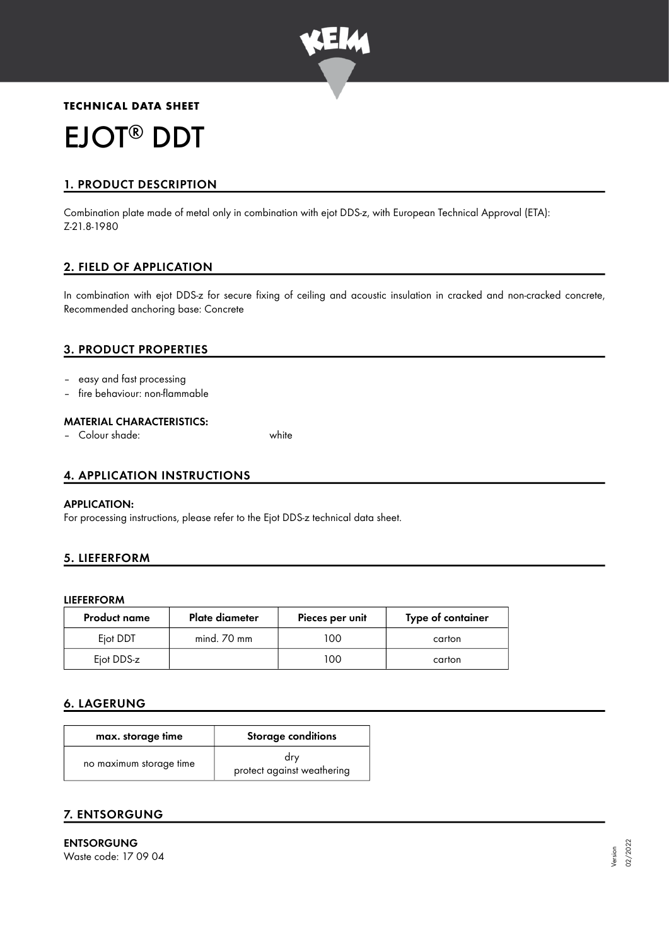

# **TECHNICAL DATA SHEET** EJOT<sup>®</sup> DDT

# 1. PRODUCT DESCRIPTION

Combination plate made of metal only in combination with ejot DDS-z, with European Technical Approval (ETA): Z-21.8-1980

## 2. FIELD OF APPLICATION

In combination with ejot DDS-z for secure fixing of ceiling and acoustic insulation in cracked and non-cracked concrete, Recommended anchoring base: Concrete

## 3. PRODUCT PROPERTIES

- easy and fast processing
- fire behaviour: non-flammable

#### MATERIAL CHARACTERISTICS:

– Colour shade: white

#### 4. APPLICATION INSTRUCTIONS

#### APPLICATION:

For processing instructions, please refer to the Ejot DDS-z technical data sheet.

#### 5. LIEFERFORM

#### LIEFERFORM

| <b>Product name</b> | Plate diameter | Pieces per unit | Type of container |
|---------------------|----------------|-----------------|-------------------|
| Eiot DDT            | mind. 70 mm    | 00              | carton            |
| Ejot DDS-z          |                | 00              | carton            |

#### 6. LAGERUNG

| max. storage time       | Storage conditions                |  |
|-------------------------|-----------------------------------|--|
| no maximum storage time | drv<br>protect against weathering |  |

## 7. ENTSORGUNG

ENTSORGUNG Waste code: 17 09 04